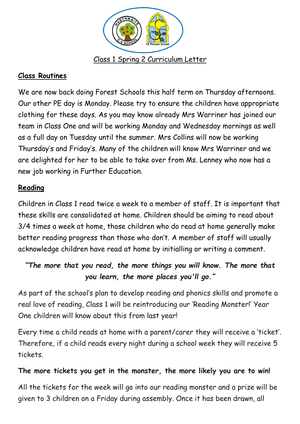

#### **Class Routines**

We are now back doing Forest Schools this half term on Thursday afternoons. Our other PE day is Monday. Please try to ensure the children have appropriate clothing for these days. As you may know already Mrs Warriner has joined our team in Class One and will be working Monday and Wednesday mornings as well as a full day on Tuesday until the summer. Mrs Collins will now be working Thursday's and Friday's. Many of the children will know Mrs Warriner and we are delighted for her to be able to take over from Ms. Lenney who now has a new job working in Further Education.

### **Reading**

Children in Class 1 read twice a week to a member of staff. It is important that these skills are consolidated at home. Children should be aiming to read about 3/4 times a week at home, those children who do read at home generally make better reading progress than those who don't. A member of staff will usually acknowledge children have read at home by initialling or writing a comment.

# *"The more that you read, the more things you will know. The more that you learn, the more places you'll go."*

As part of the school's plan to develop reading and phonics skills and promote a real love of reading, Class 1 will be reintroducing our 'Reading Monster!' Year One children will know about this from last year!

Every time a child reads at home with a parent/carer they will receive a 'ticket'. Therefore, if a child reads every night during a school week they will receive 5 tickets.

#### **The more tickets you get in the monster, the more likely you are to win!**

All the tickets for the week will go into our reading monster and a prize will be given to 3 children on a Friday during assembly. Once it has been drawn, all